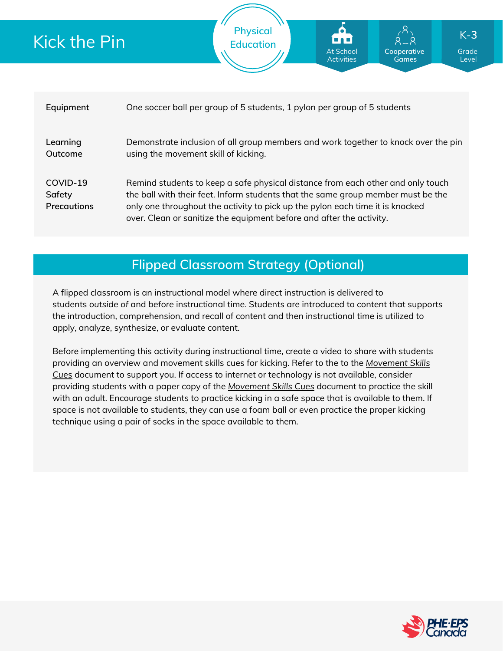

**Physical Education**

## **Flipped Classroom Strategy (Optional)**

A flipped classroom is an instructional model where direct instruction is delivered to students *outside of* and *before* instructional time. Students are introduced to content that supports the introduction, comprehension, and recall of content and then instructional time is utilized to apply, analyze, synthesize, or evaluate content.

Before implementing this activity during instructional time, create a video to share with students providing an overview and movement skills cues for kicking. Refer to the to the *Movement Skills Cues* document to support you. If access to internet or [technology](https://phecanada.ca/sites/default/files/content/docs/Home%20Learning%20Resource/Movement%20Cues/Movement%20Skills%20Cues%201.pdf) is not available, consider providing students with a paper copy of the *[Movement](https://phecanada.ca/sites/default/files/content/docs/Home%20Learning%20Resource/Movement%20Cues/Movement%20Skills%20Cues%201.pdf) Skills Cues* document to practice the skill with an adult. Encourage students to practice kicking in a safe space that is available to them. If space is not available to students, they can use a foam ball or even practice the proper kicking technique using a pair of socks in the space available to them.



Grade Level

K-**3**

**Cooperative Games**

At School Activities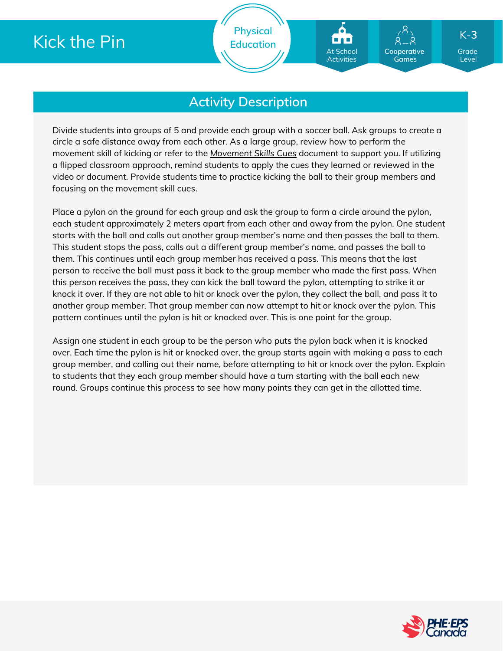**Physical Education**

## **Activity Description**

Divide students into groups of 5 and provide each group with a soccer ball. Ask groups to create a circle a safe distance away from each other. As a large group, review how to perform the movement skill of kicking or refer to the *[Movement](https://phecanada.ca/sites/default/files/content/docs/Home%20Learning%20Resource/Movement%20Cues/Movement%20Skills%20Cues%201.pdf) Skills Cues* document to support you. If utilizing a flipped classroom approach, remind students to apply the cues they learned or reviewed in the video or document. Provide students time to practice kicking the ball to their group members and focusing on the movement skill cues.

Place a pylon on the ground for each group and ask the group to form a circle around the pylon, each student approximately 2 meters apart from each other and away from the pylon. One student starts with the ball and calls out another group member's name and then passes the ball to them. This student stops the pass, calls out a different group member's name, and passes the ball to them. This continues until each group member has received a pass. This means that the last person to receive the ball must pass it back to the group member who made the first pass. When this person receives the pass, they can kick the ball toward the pylon, attempting to strike it or knock it over. If they are not able to hit or knock over the pylon, they collect the ball, and pass it to another group member. That group member can now attempt to hit or knock over the pylon. This pattern continues until the pylon is hit or knocked over. This is one point for the group.

Assign one student in each group to be the person who puts the pylon back when it is knocked over. Each time the pylon is hit or knocked over, the group starts again with making a pass to each group member, and calling out their name, before attempting to hit or knock over the pylon. Explain to students that they each group member should have a turn starting with the ball each new round. Groups continue this process to see how many points they can get in the allotted time.



Grade Level

K-**3**

**Cooperative Games**

At School Activities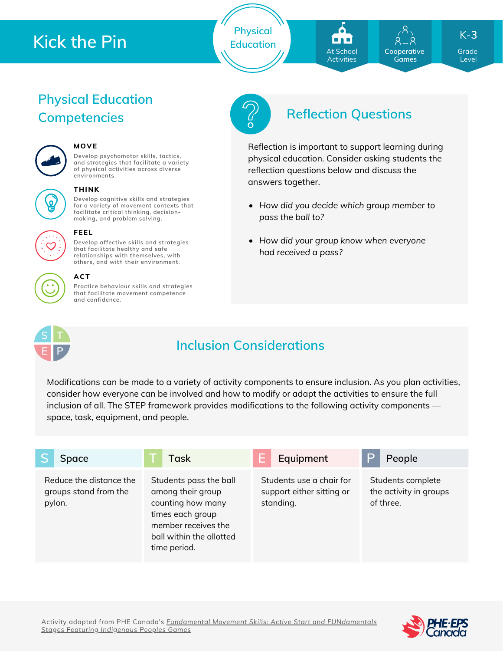**Physical Education**



**Cooperative Games**

Grade K-**3**

Level

# **Physical Education**



## **MOVE**

**Develop psychomotor skills, tactics, and strategies that facilitate a variety of physical activities across diverse environments.**



#### **THINK**

**Develop cognitive skills and strategies for a variety of movement contexts that facilitate critical thinking, decision making, and problem solving.**

**Develop affective skills and strategies that facilitate healthy and safe relationships with themselves, with**



#### **others, and with their environment. ACT**

**FEEL**

**Practice behaviour skills and strategies that facilitate movement competence and confidence.**



## **Competencies Reflection Questions**

Reflection is important to support learning during physical education. Consider asking students the reflection questions below and discuss the answers together.

- *How did you decide which group member to pass the ball to?*
- *How did your group know when everyone had received a pass?*



## **Inclusion Considerations**

Modifications can be made to a variety of activity components to ensure inclusion. As you plan activities, consider how everyone can be involved and how to modify or adapt the activities to ensure the full inclusion of all. The STEP framework provides modifications to the following activity components space, task, equipment, and people.

| Space                                                      | Task                                                                                                                                                    | Equipment                                                          | People                                                   |
|------------------------------------------------------------|---------------------------------------------------------------------------------------------------------------------------------------------------------|--------------------------------------------------------------------|----------------------------------------------------------|
| Reduce the distance the<br>groups stand from the<br>pylon. | Students pass the ball<br>among their group<br>counting how many<br>times each group<br>member receives the<br>ball within the allotted<br>time period. | Students use a chair for<br>support either sitting or<br>standing. | Students complete<br>the activity in groups<br>of three. |